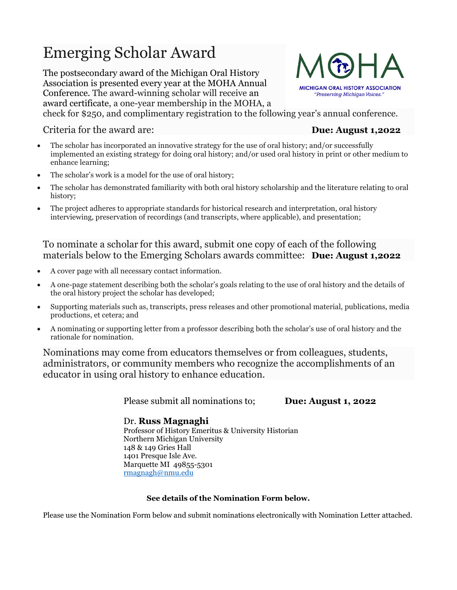# Emerging Scholar Award

The postsecondary award of the Michigan Oral History Association is presented every year at the MOHA Annual Conference. The award-winning scholar will receive an award certificate, a one-year membership in the MOHA, a



check for \$250, and complimentary registration to the following year's annual conference.

Criteria for the award are: **Due: August 1,2022**

- The scholar has incorporated an innovative strategy for the use of oral history; and/or successfully implemented an existing strategy for doing oral history; and/or used oral history in print or other medium to enhance learning;
- The scholar's work is a model for the use of oral history;
- The scholar has demonstrated familiarity with both oral history scholarship and the literature relating to oral history;
- The project adheres to appropriate standards for historical research and interpretation, oral history interviewing, preservation of recordings (and transcripts, where applicable), and presentation;

#### To nominate a scholar for this award, submit one copy of each of the following materials below to the Emerging Scholars awards committee: **Due: August 1,2022**

- A cover page with all necessary contact information.
- A one-page statement describing both the scholar's goals relating to the use of oral history and the details of the oral history project the scholar has developed;
- Supporting materials such as, transcripts, press releases and other promotional material, publications, media productions, et cetera; and
- A nominating or supporting letter from a professor describing both the scholar's use of oral history and the rationale for nomination.

Nominations may come from educators themselves or from colleagues, students, administrators, or community members who recognize the accomplishments of an educator in using oral history to enhance education.

Please submit all nominations to; **Due: August 1, 2022** 

Dr. **Russ Magnaghi** Professor of History Emeritus & University Historian Northern Michigan University 148 & 149 Gries Hall 1401 Presque Isle Ave. Marquette MI 49855-5301 [rmagnagh@nmu.edu](mailto:rmagnagh@nmu.edu)

#### **See details of the Nomination Form below.**

Please use the Nomination Form below and submit nominations electronically with Nomination Letter attached.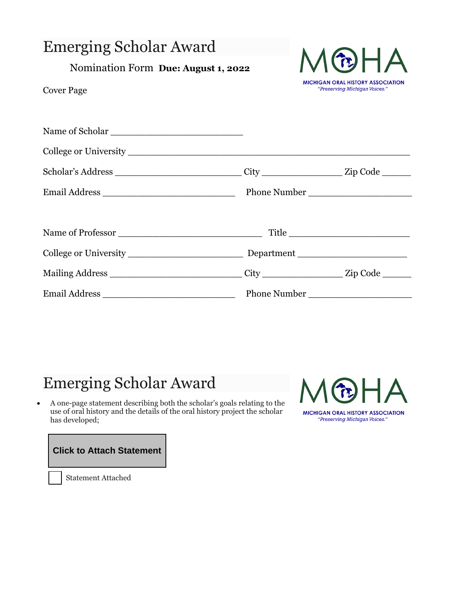| <b>Emerging Scholar Award</b><br>Nomination Form Due: August 1, 2022<br><b>Cover Page</b>            |  | MWHA<br><b>MICHIGAN ORAL HISTORY ASSOCIATION</b><br>"Preserving Michigan Voices." |  |
|------------------------------------------------------------------------------------------------------|--|-----------------------------------------------------------------------------------|--|
|                                                                                                      |  |                                                                                   |  |
|                                                                                                      |  |                                                                                   |  |
| Scholar's Address ________________________________City ____________________Zip Code ________________ |  |                                                                                   |  |
|                                                                                                      |  |                                                                                   |  |
|                                                                                                      |  | Title                                                                             |  |
|                                                                                                      |  |                                                                                   |  |
| Mailing Address _________________________________City ____________________Zip Code ________          |  |                                                                                   |  |
|                                                                                                      |  |                                                                                   |  |

## Emerging Scholar Award

• A one-page statement describing both the scholar's goals relating to the use of oral history and the details of the oral history project the scholar has developed;



**Click to Attach Statement**

Statement Attached